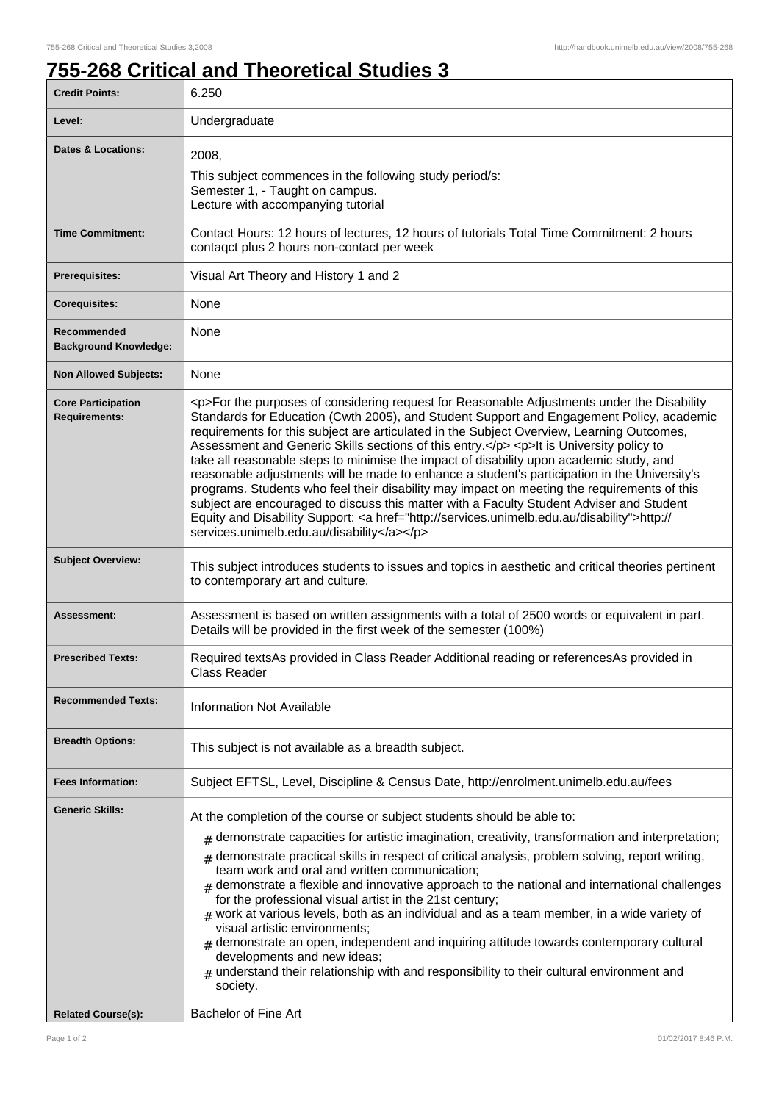## **755-268 Critical and Theoretical Studies 3**

| <b>Credit Points:</b>                             | 6.250                                                                                                                                                                                                                                                                                                                                                                                                                                                                                                                                                                                                                                                                                                                                                                                                                                                                                                                        |
|---------------------------------------------------|------------------------------------------------------------------------------------------------------------------------------------------------------------------------------------------------------------------------------------------------------------------------------------------------------------------------------------------------------------------------------------------------------------------------------------------------------------------------------------------------------------------------------------------------------------------------------------------------------------------------------------------------------------------------------------------------------------------------------------------------------------------------------------------------------------------------------------------------------------------------------------------------------------------------------|
| Level:                                            | Undergraduate                                                                                                                                                                                                                                                                                                                                                                                                                                                                                                                                                                                                                                                                                                                                                                                                                                                                                                                |
| <b>Dates &amp; Locations:</b>                     | 2008,<br>This subject commences in the following study period/s:<br>Semester 1, - Taught on campus.<br>Lecture with accompanying tutorial                                                                                                                                                                                                                                                                                                                                                                                                                                                                                                                                                                                                                                                                                                                                                                                    |
| <b>Time Commitment:</b>                           | Contact Hours: 12 hours of lectures, 12 hours of tutorials Total Time Commitment: 2 hours<br>contaqct plus 2 hours non-contact per week                                                                                                                                                                                                                                                                                                                                                                                                                                                                                                                                                                                                                                                                                                                                                                                      |
| <b>Prerequisites:</b>                             | Visual Art Theory and History 1 and 2                                                                                                                                                                                                                                                                                                                                                                                                                                                                                                                                                                                                                                                                                                                                                                                                                                                                                        |
| <b>Corequisites:</b>                              | None                                                                                                                                                                                                                                                                                                                                                                                                                                                                                                                                                                                                                                                                                                                                                                                                                                                                                                                         |
| Recommended<br><b>Background Knowledge:</b>       | None                                                                                                                                                                                                                                                                                                                                                                                                                                                                                                                                                                                                                                                                                                                                                                                                                                                                                                                         |
| <b>Non Allowed Subjects:</b>                      | None                                                                                                                                                                                                                                                                                                                                                                                                                                                                                                                                                                                                                                                                                                                                                                                                                                                                                                                         |
| <b>Core Participation</b><br><b>Requirements:</b> | <p>For the purposes of considering request for Reasonable Adjustments under the Disability<br/>Standards for Education (Cwth 2005), and Student Support and Engagement Policy, academic<br/>requirements for this subject are articulated in the Subject Overview, Learning Outcomes,<br/>Assessment and Generic Skills sections of this entry.</p> <p>It is University policy to<br/>take all reasonable steps to minimise the impact of disability upon academic study, and<br/>reasonable adjustments will be made to enhance a student's participation in the University's<br/>programs. Students who feel their disability may impact on meeting the requirements of this<br/>subject are encouraged to discuss this matter with a Faculty Student Adviser and Student<br/>Equity and Disability Support: &lt; a href="http://services.unimelb.edu.au/disability"&gt;http://<br/>services.unimelb.edu.au/disability</p> |
| <b>Subject Overview:</b>                          | This subject introduces students to issues and topics in aesthetic and critical theories pertinent<br>to contemporary art and culture.                                                                                                                                                                                                                                                                                                                                                                                                                                                                                                                                                                                                                                                                                                                                                                                       |
| Assessment:                                       | Assessment is based on written assignments with a total of 2500 words or equivalent in part.<br>Details will be provided in the first week of the semester (100%)                                                                                                                                                                                                                                                                                                                                                                                                                                                                                                                                                                                                                                                                                                                                                            |
| <b>Prescribed Texts:</b>                          | Required textsAs provided in Class Reader Additional reading or referencesAs provided in<br><b>Class Reader</b>                                                                                                                                                                                                                                                                                                                                                                                                                                                                                                                                                                                                                                                                                                                                                                                                              |
| <b>Recommended Texts:</b>                         | <b>Information Not Available</b>                                                                                                                                                                                                                                                                                                                                                                                                                                                                                                                                                                                                                                                                                                                                                                                                                                                                                             |
| <b>Breadth Options:</b>                           | This subject is not available as a breadth subject.                                                                                                                                                                                                                                                                                                                                                                                                                                                                                                                                                                                                                                                                                                                                                                                                                                                                          |
| <b>Fees Information:</b>                          | Subject EFTSL, Level, Discipline & Census Date, http://enrolment.unimelb.edu.au/fees                                                                                                                                                                                                                                                                                                                                                                                                                                                                                                                                                                                                                                                                                                                                                                                                                                         |
| <b>Generic Skills:</b>                            | At the completion of the course or subject students should be able to:<br>demonstrate capacities for artistic imagination, creativity, transformation and interpretation;<br>#<br>demonstrate practical skills in respect of critical analysis, problem solving, report writing,<br>#<br>team work and oral and written communication;<br>demonstrate a flexible and innovative approach to the national and international challenges<br>for the professional visual artist in the 21st century;<br>$_{\text{\#}}$ work at various levels, both as an individual and as a team member, in a wide variety of<br>visual artistic environments;<br>$#$ demonstrate an open, independent and inquiring attitude towards contemporary cultural<br>developments and new ideas;<br>understand their relationship with and responsibility to their cultural environment and<br>society.                                              |
| <b>Related Course(s):</b>                         | Bachelor of Fine Art                                                                                                                                                                                                                                                                                                                                                                                                                                                                                                                                                                                                                                                                                                                                                                                                                                                                                                         |